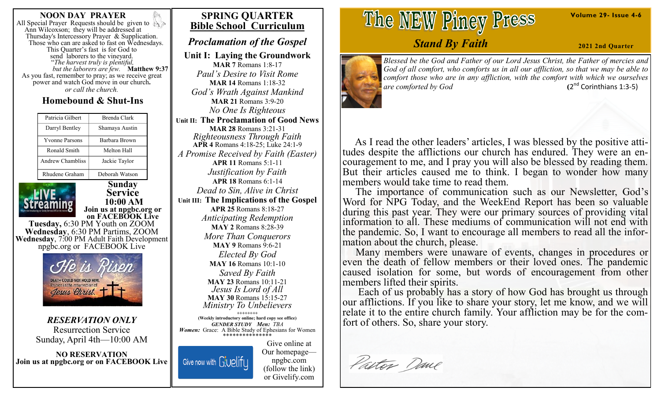#### **NOON DAY PRAYER**

All Special Prayer Requests should be given to Ann Wilcoxson; they will be addressed at Thursday's Intercessory Prayer & Supplication. Those who can are asked to fast on Wednesdays. This Quarter's fast is for God to send laborers to the vineyard. "*The harvest truly is plentiful, but the laborers are few.* **Matthew 9:37**  As you fast, remember to pray; as we receive great power and watch God move in our church**.** *or call the church.*

# **Homebound & Shut-Ins**

| Patricia Gilbert      | Brenda Clark         |
|-----------------------|----------------------|
| Darryl Bentley        | Shamaya Austin       |
| <b>Yvonne Parsons</b> | <b>Barbara Brown</b> |
| Ronald Smith          | Melton Hall          |
| Andrew Chambliss      | Jackie Taylor        |
| Rhudene Graham        | Deborah Watson       |

**Sunday Service 10:00 AM Join us at npgbc.org or on FACEBOOK Live Tuesday,** 6:30 PM Youth on ZOOM **Wednesday**, 6:30 PM Partims, ZOOM **Wednesday**, 7:00 PM Adult Faith Development npgbc.org or FACEBOOK Live



*RESERVATION ONLY* Resurrection Service Sunday, April 4th—10:00 AM

**NO RESERVATION Join us at npgbc.org or on FACEBOOK Live** 

# **SPRING QUARTER Bible School Curriculum**

# *Proclamation of the Gospel*

**Unit I: Laying the Groundwork MAR 7** Romans 1:8-17 *Paul's Desire to Visit Rome* **MAR 14** Romans 1:18-32 *God's Wrath Against Mankind* **MAR 21** Romans 3:9-20 *No One Is Righteous* **Unit II: The Proclamation of Good News MAR 28** Romans 3:21-31 *Righteousness Through Faith* **APR 4** Romans 4:18-25; Luke 24:1-9 *A Promise Received by Faith (Easter)* **APR 11** Romans 5:1-11 *Justification by Faith* **APR 18** Romans 6:1-14 *Dead to Sin, Alive in Christ* **Unit III: The Implications of the Gospel APR 25** Romans 8:18-27 *Anticipating Redemption* **MAY 2** Romans 8:28-39 *More Than Conquerors* **MAY 9** Romans 9:6-21 *Elected By God* **MAY 16** Romans 10:1-10 *Saved By Faith* **MAY 23** Romans 10:11-21 *Jesus Is Lord of All* **MAY 30** Romans 15:15-27 *Ministry To Unbelievers* **++++++++ (Weekly introductory online; hard copy see office)**

*GENDER STUDY Men: TBA Women:*Grace: A Bible Study of Ephesians for Women \*\*\*\*\*\*\*\*\*\*\*\*\*\*\*

Give now with Givelify

Give online at Our homepage npgbc.com (follow the link) or Givelify.com

# The NEW Piney Press

# *Stand By Faith*

**2021 2nd Quarter**

**Volume 29- Issue 4-6**



*Blessed be the God and Father of our Lord Jesus Christ, the Father of mercies and God of all comfort, who comforts us in all our affliction, so that we may be able to comfort those who are in any affliction, with the comfort with which we ourselves are comforted by God* **(**2  $(2<sup>nd</sup>$  Corinthians 1:3-5)

 As I read the other leaders' articles, I was blessed by the positive attitudes despite the afflictions our church has endured. They were an encouragement to me, and I pray you will also be blessed by reading them. But their articles caused me to think. I began to wonder how many members would take time to read them.

 The importance of communication such as our Newsletter, God's Word for NPG Today, and the WeekEnd Report has been so valuable during this past year. They were our primary sources of providing vital information to all. These mediums of communication will not end with the pandemic. So, I want to encourage all members to read all the information about the church, please.

 Many members were unaware of events, changes in procedures or even the death of fellow members or their loved ones. The pandemic caused isolation for some, but words of encouragement from other members lifted their spirits.

 Each of us probably has a story of how God has brought us through our afflictions. If you like to share your story, let me know, and we will relate it to the entire church family. Your affliction may be for the comfort of others. So, share your story.

Pastor Dane